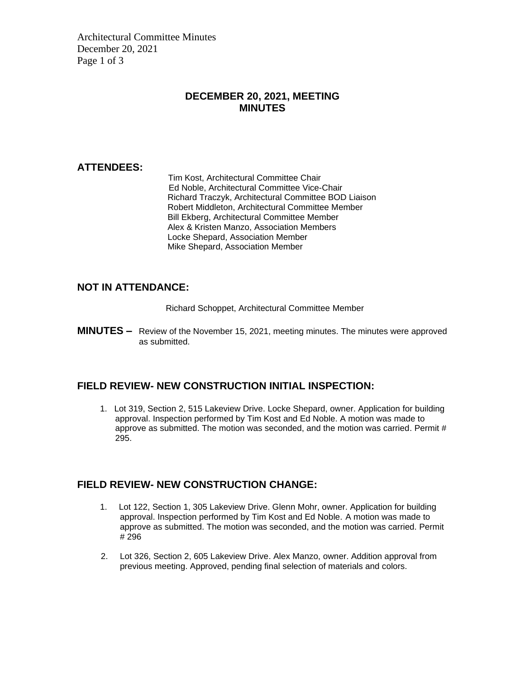Architectural Committee Minutes December 20, 2021 Page 1 of 3

### **DECEMBER 20, 2021, MEETING MINUTES**

#### **ATTENDEES:**

Tim Kost, Architectural Committee Chair Ed Noble, Architectural Committee Vice-Chair Richard Traczyk, Architectural Committee BOD Liaison Robert Middleton, Architectural Committee Member Bill Ekberg, Architectural Committee Member Alex & Kristen Manzo, Association Members Locke Shepard, Association Member Mike Shepard, Association Member

#### **NOT IN ATTENDANCE:**

Richard Schoppet, Architectural Committee Member

**MINUTES –** Review of the November 15, 2021, meeting minutes. The minutes were approved as submitted.

# **FIELD REVIEW- NEW CONSTRUCTION INITIAL INSPECTION:**

1. Lot 319, Section 2, 515 Lakeview Drive. Locke Shepard, owner. Application for building approval. Inspection performed by Tim Kost and Ed Noble. A motion was made to approve as submitted. The motion was seconded, and the motion was carried. Permit # 295.

# **FIELD REVIEW- NEW CONSTRUCTION CHANGE:**

- 1. Lot 122, Section 1, 305 Lakeview Drive. Glenn Mohr, owner. Application for building approval. Inspection performed by Tim Kost and Ed Noble. A motion was made to approve as submitted. The motion was seconded, and the motion was carried. Permit # 296
- 2. Lot 326, Section 2, 605 Lakeview Drive. Alex Manzo, owner. Addition approval from previous meeting. Approved, pending final selection of materials and colors.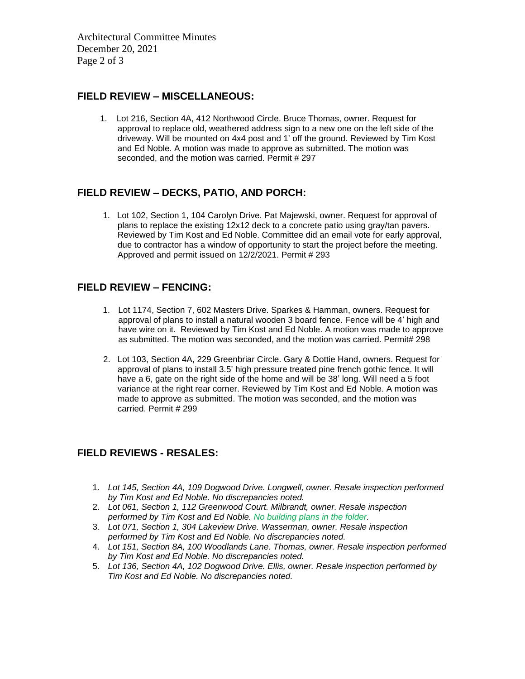Architectural Committee Minutes December 20, 2021 Page 2 of 3

#### **FIELD REVIEW – MISCELLANEOUS:**

1. Lot 216, Section 4A, 412 Northwood Circle. Bruce Thomas, owner. Request for approval to replace old, weathered address sign to a new one on the left side of the driveway. Will be mounted on 4x4 post and 1' off the ground. Reviewed by Tim Kost and Ed Noble. A motion was made to approve as submitted. The motion was seconded, and the motion was carried. Permit # 297

# **FIELD REVIEW – DECKS, PATIO, AND PORCH:**

1. Lot 102, Section 1, 104 Carolyn Drive. Pat Majewski, owner. Request for approval of plans to replace the existing 12x12 deck to a concrete patio using gray/tan pavers. Reviewed by Tim Kost and Ed Noble. Committee did an email vote for early approval, due to contractor has a window of opportunity to start the project before the meeting. Approved and permit issued on 12/2/2021. Permit # 293

#### **FIELD REVIEW – FENCING:**

- 1. Lot 1174, Section 7, 602 Masters Drive. Sparkes & Hamman, owners. Request for approval of plans to install a natural wooden 3 board fence. Fence will be 4' high and have wire on it. Reviewed by Tim Kost and Ed Noble. A motion was made to approve as submitted. The motion was seconded, and the motion was carried. Permit# 298
- 2. Lot 103, Section 4A, 229 Greenbriar Circle. Gary & Dottie Hand, owners. Request for approval of plans to install 3.5' high pressure treated pine french gothic fence. It will have a 6, gate on the right side of the home and will be 38' long. Will need a 5 foot variance at the right rear corner. Reviewed by Tim Kost and Ed Noble. A motion was made to approve as submitted. The motion was seconded, and the motion was carried. Permit # 299

# **FIELD REVIEWS - RESALES:**

- 1. *Lot 145, Section 4A, 109 Dogwood Drive. Longwell, owner. Resale inspection performed by Tim Kost and Ed Noble. No discrepancies noted.*
- 2. *Lot 061, Section 1, 112 Greenwood Court. Milbrandt, owner. Resale inspection performed by Tim Kost and Ed Noble. No building plans in the folder.*
- 3. *Lot 071, Section 1, 304 Lakeview Drive. Wasserman, owner. Resale inspection performed by Tim Kost and Ed Noble. No discrepancies noted.*
- 4. *Lot 151, Section 8A, 100 Woodlands Lane. Thomas, owner. Resale inspection performed by Tim Kost and Ed Noble. No discrepancies noted.*
- 5. *Lot 136, Section 4A, 102 Dogwood Drive. Ellis, owner. Resale inspection performed by Tim Kost and Ed Noble. No discrepancies noted.*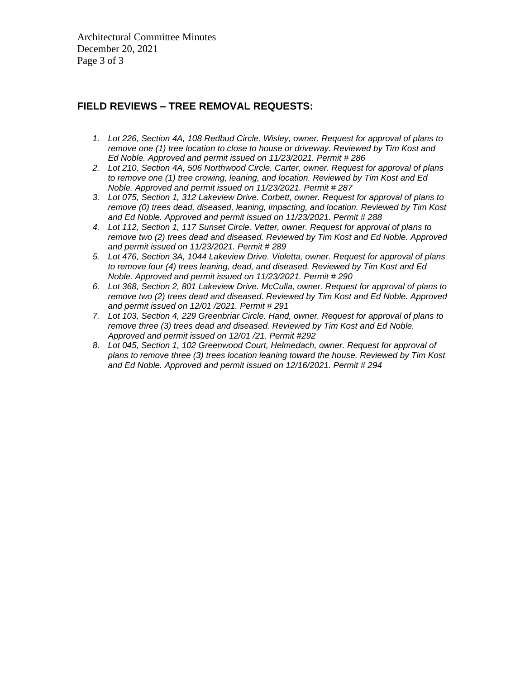Architectural Committee Minutes December 20, 2021 Page 3 of 3

# **FIELD REVIEWS – TREE REMOVAL REQUESTS:**

- *1. Lot 226, Section 4A, 108 Redbud Circle. Wisley, owner. Request for approval of plans to remove one (1) tree location to close to house or driveway. Reviewed by Tim Kost and Ed Noble. Approved and permit issued on 11/23/2021. Permit # 286*
- *2. Lot 210, Section 4A, 506 Northwood Circle. Carter, owner. Request for approval of plans to remove one (1) tree crowing, leaning, and location. Reviewed by Tim Kost and Ed Noble. Approved and permit issued on 11/23/2021. Permit # 287*
- *3. Lot 075, Section 1, 312 Lakeview Drive. Corbett, owner. Request for approval of plans to remove (0) trees dead, diseased, leaning, impacting, and location. Reviewed by Tim Kost and Ed Noble. Approved and permit issued on 11/23/2021. Permit # 288*
- *4. Lot 112, Section 1, 117 Sunset Circle. Vetter, owner. Request for approval of plans to remove two (2) trees dead and diseased. Reviewed by Tim Kost and Ed Noble. Approved and permit issued on 11/23/2021. Permit # 289*
- *5. Lot 476, Section 3A, 1044 Lakeview Drive. Violetta, owner. Request for approval of plans to remove four (4) trees leaning, dead, and diseased. Reviewed by Tim Kost and Ed Noble. Approved and permit issued on 11/23/2021. Permit # 290*
- *6. Lot 368, Section 2, 801 Lakeview Drive. McCulla, owner. Request for approval of plans to remove two (2) trees dead and diseased. Reviewed by Tim Kost and Ed Noble. Approved and permit issued on 12/01 /2021. Permit # 291*
- *7. Lot 103, Section 4, 229 Greenbriar Circle. Hand, owner. Request for approval of plans to remove three (3) trees dead and diseased. Reviewed by Tim Kost and Ed Noble. Approved and permit issued on 12/01 /21. Permit #292*
- *8. Lot 045, Section 1, 102 Greenwood Court, Helmedach, owner. Request for approval of plans to remove three (3) trees location leaning toward the house. Reviewed by Tim Kost and Ed Noble. Approved and permit issued on 12/16/2021. Permit # 294*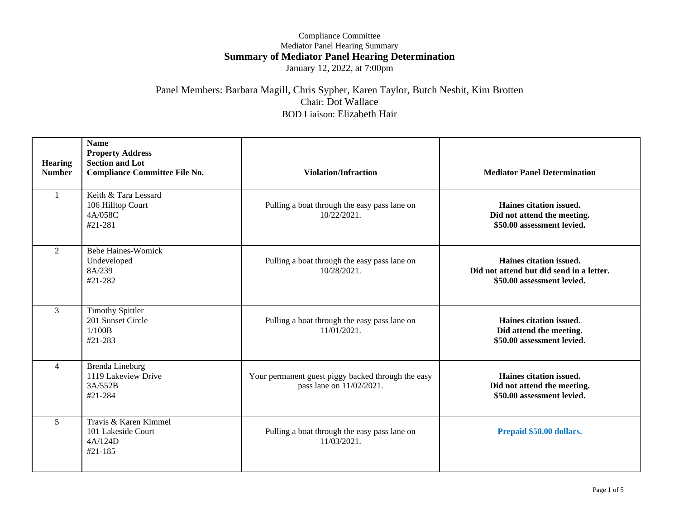#### Compliance Committee Mediator Panel Hearing Summary **Summary of Mediator Panel Hearing Determination** January 12, 2022, at 7:00pm

#### Panel Members: Barbara Magill, Chris Sypher, Karen Taylor, Butch Nesbit, Kim Brotten Chair: Dot Wallace BOD Liaison: Elizabeth Hair

| <b>Hearing</b><br><b>Number</b> | <b>Name</b><br><b>Property Address</b><br><b>Section and Lot</b><br><b>Compliance Committee File No.</b> | <b>Violation/Infraction</b>                                                    | <b>Mediator Panel Determination</b>                                                               |
|---------------------------------|----------------------------------------------------------------------------------------------------------|--------------------------------------------------------------------------------|---------------------------------------------------------------------------------------------------|
| $\mathbf{1}$                    | Keith & Tara Lessard<br>106 Hilltop Court<br>4A/058C<br>#21-281                                          | Pulling a boat through the easy pass lane on<br>10/22/2021.                    | Haines citation issued.<br>Did not attend the meeting.<br>\$50.00 assessment levied.              |
| $\overline{2}$                  | <b>Bebe Haines-Womick</b><br>Undeveloped<br>8A/239<br>#21-282                                            | Pulling a boat through the easy pass lane on<br>$10/28/2021$ .                 | Haines citation issued.<br>Did not attend but did send in a letter.<br>\$50.00 assessment levied. |
| $\overline{3}$                  | <b>Timothy Spittler</b><br>201 Sunset Circle<br>1/100B<br>$#21 - 283$                                    | Pulling a boat through the easy pass lane on<br>$11/01/2021$ .                 | Haines citation issued.<br>Did attend the meeting.<br>\$50.00 assessment levied.                  |
| $\overline{4}$                  | Brenda Lineburg<br>1119 Lakeview Drive<br>3A/552B<br>#21-284                                             | Your permanent guest piggy backed through the easy<br>pass lane on 11/02/2021. | Haines citation issued.<br>Did not attend the meeting.<br>\$50.00 assessment levied.              |
| $\mathfrak{H}$                  | Travis & Karen Kimmel<br>101 Lakeside Court<br>4A/124D<br>$#21-185$                                      | Pulling a boat through the easy pass lane on<br>11/03/2021.                    | Prepaid \$50.00 dollars.                                                                          |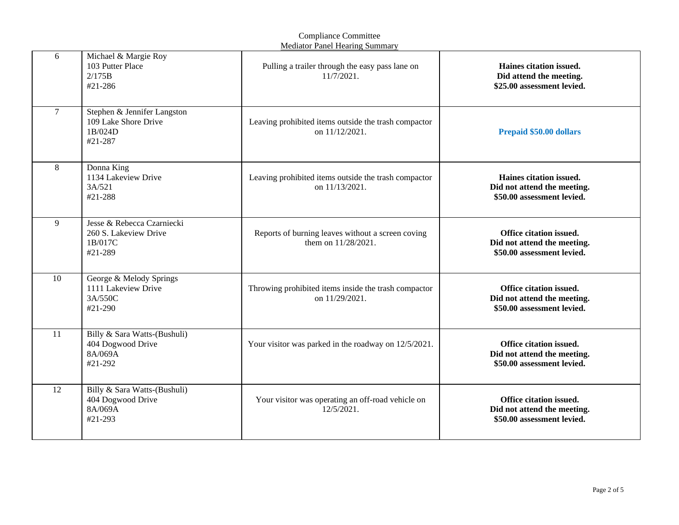| <b>Mediator Panel Hearing Summary</b> |                                                                           |                                                                          |                                                                                      |
|---------------------------------------|---------------------------------------------------------------------------|--------------------------------------------------------------------------|--------------------------------------------------------------------------------------|
| 6                                     | Michael & Margie Roy<br>103 Putter Place<br>2/175B<br>#21-286             | Pulling a trailer through the easy pass lane on<br>11/7/2021.            | Haines citation issued.<br>Did attend the meeting.<br>\$25.00 assessment levied.     |
| $\overline{7}$                        | Stephen & Jennifer Langston<br>109 Lake Shore Drive<br>1B/024D<br>#21-287 | Leaving prohibited items outside the trash compactor<br>on 11/12/2021.   | Prepaid \$50.00 dollars                                                              |
| 8                                     | Donna King<br>1134 Lakeview Drive<br>3A/521<br>#21-288                    | Leaving prohibited items outside the trash compactor<br>on 11/13/2021.   | Haines citation issued.<br>Did not attend the meeting.<br>\$50.00 assessment levied. |
| 9                                     | Jesse & Rebecca Czarniecki<br>260 S. Lakeview Drive<br>1B/017C<br>#21-289 | Reports of burning leaves without a screen coving<br>them on 11/28/2021. | Office citation issued.<br>Did not attend the meeting.<br>\$50.00 assessment levied. |
| 10                                    | George & Melody Springs<br>1111 Lakeview Drive<br>3A/550C<br>#21-290      | Throwing prohibited items inside the trash compactor<br>on 11/29/2021.   | Office citation issued.<br>Did not attend the meeting.<br>\$50.00 assessment levied. |
| 11                                    | Billy & Sara Watts-(Bushuli)<br>404 Dogwood Drive<br>8A/069A<br>#21-292   | Your visitor was parked in the roadway on 12/5/2021.                     | Office citation issued.<br>Did not attend the meeting.<br>\$50.00 assessment levied. |
| 12                                    | Billy & Sara Watts-(Bushuli)<br>404 Dogwood Drive<br>8A/069A<br>#21-293   | Your visitor was operating an off-road vehicle on<br>$12/5/2021$ .       | Office citation issued.<br>Did not attend the meeting.<br>\$50.00 assessment levied. |

# Compliance Committee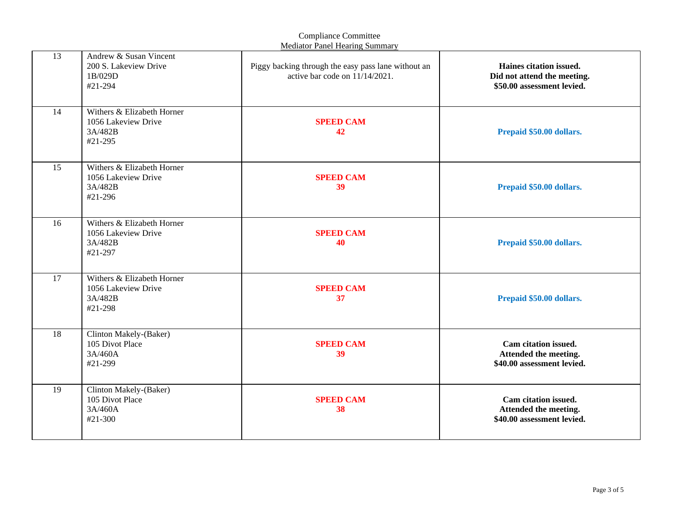|    |                                                                         | <b>Compliance Committee</b><br><b>Mediator Panel Hearing Summary</b>                     |                                                                                      |
|----|-------------------------------------------------------------------------|------------------------------------------------------------------------------------------|--------------------------------------------------------------------------------------|
| 13 | Andrew & Susan Vincent<br>200 S. Lakeview Drive<br>1B/029D<br>#21-294   | Piggy backing through the easy pass lane without an<br>active bar code on $11/14/2021$ . | Haines citation issued.<br>Did not attend the meeting.<br>\$50.00 assessment levied. |
| 14 | Withers & Elizabeth Horner<br>1056 Lakeview Drive<br>3A/482B<br>#21-295 | <b>SPEED CAM</b><br>42                                                                   | Prepaid \$50.00 dollars.                                                             |
| 15 | Withers & Elizabeth Horner<br>1056 Lakeview Drive<br>3A/482B<br>#21-296 | <b>SPEED CAM</b><br>39                                                                   | Prepaid \$50.00 dollars.                                                             |
| 16 | Withers & Elizabeth Horner<br>1056 Lakeview Drive<br>3A/482B<br>#21-297 | <b>SPEED CAM</b><br>40                                                                   | Prepaid \$50.00 dollars.                                                             |
| 17 | Withers & Elizabeth Horner<br>1056 Lakeview Drive<br>3A/482B<br>#21-298 | <b>SPEED CAM</b><br>37                                                                   | Prepaid \$50.00 dollars.                                                             |
| 18 | Clinton Makely-(Baker)<br>105 Divot Place<br>3A/460A<br>#21-299         | <b>SPEED CAM</b><br>39                                                                   | Cam citation issued.<br>Attended the meeting.<br>\$40.00 assessment levied.          |
| 19 | Clinton Makely-(Baker)<br>105 Divot Place<br>3A/460A<br>#21-300         | <b>SPEED CAM</b><br>38                                                                   | Cam citation issued.<br>Attended the meeting.<br>\$40.00 assessment levied.          |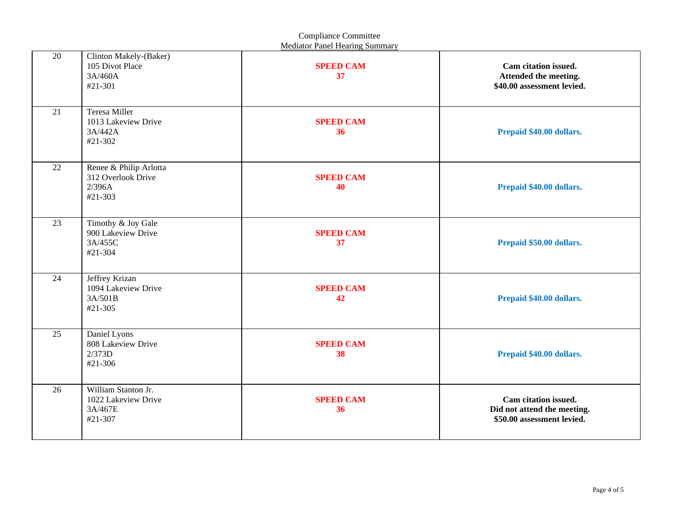| <b>Compliance Committee</b><br><b>Mediator Panel Hearing Summary</b> |                                                                   |                        |                                                                                   |
|----------------------------------------------------------------------|-------------------------------------------------------------------|------------------------|-----------------------------------------------------------------------------------|
| 20                                                                   | Clinton Makely-(Baker)<br>105 Divot Place<br>3A/460A<br>#21-301   | <b>SPEED CAM</b><br>37 | Cam citation issued.<br>Attended the meeting.<br>\$40.00 assessment levied.       |
| 21                                                                   | Teresa Miller<br>1013 Lakeview Drive<br>3A/442A<br>#21-302        | <b>SPEED CAM</b><br>36 | Prepaid \$40.00 dollars.                                                          |
| 22                                                                   | Renee & Philip Arlotta<br>312 Overlook Drive<br>2/396A<br>#21-303 | <b>SPEED CAM</b><br>40 | Prepaid \$40.00 dollars.                                                          |
| 23                                                                   | Timothy & Joy Gale<br>900 Lakeview Drive<br>3A/455C<br>#21-304    | <b>SPEED CAM</b><br>37 | Prepaid \$50.00 dollars.                                                          |
| 24                                                                   | Jeffrey Krizan<br>1094 Lakeview Drive<br>3A/501B<br>#21-305       | <b>SPEED CAM</b><br>42 | Prepaid \$40.00 dollars.                                                          |
| 25                                                                   | Daniel Lyons<br>808 Lakeview Drive<br>2/373D<br>#21-306           | <b>SPEED CAM</b><br>38 | Prepaid \$40.00 dollars.                                                          |
| 26                                                                   | William Stanton Jr.<br>1022 Lakeview Drive<br>3A/467E<br>#21-307  | <b>SPEED CAM</b><br>36 | Cam citation issued.<br>Did not attend the meeting.<br>\$50.00 assessment levied. |